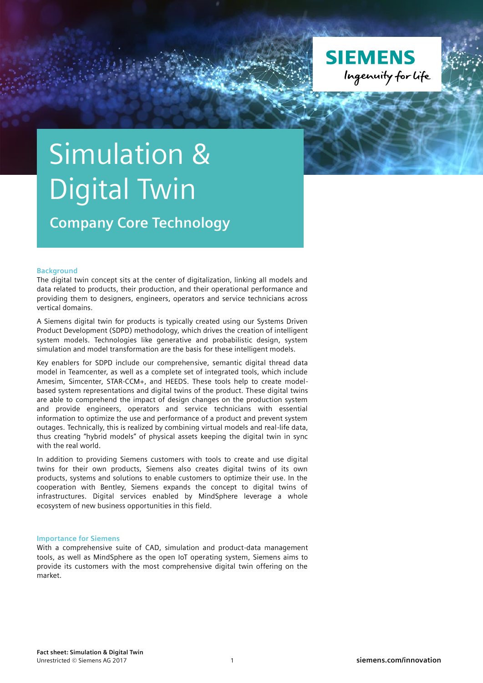

# Simulation & Digital Twin

**Company Core Technology**

# **Background**

The digital twin concept sits at the center of digitalization, linking all models and data related to products, their production, and their operational performance and providing them to designers, engineers, operators and service technicians across vertical domains.

A Siemens digital twin for products is typically created using our Systems Driven Product Development (SDPD) methodology, which drives the creation of intelligent system models. Technologies like generative and probabilistic design, system simulation and model transformation are the basis for these intelligent models.

Key enablers for SDPD include our comprehensive, semantic digital thread data model in Teamcenter, as well as a complete set of integrated tools, which include Amesim, Simcenter, STAR-CCM+, and HEEDS. These tools help to create modelbased system representations and digital twins of the product. These digital twins are able to comprehend the impact of design changes on the production system and provide engineers, operators and service technicians with essential information to optimize the use and performance of a product and prevent system outages. Technically, this is realized by combining virtual models and real-life data, thus creating "hybrid models" of physical assets keeping the digital twin in sync with the real world.

In addition to providing Siemens customers with tools to create and use digital twins for their own products, Siemens also creates digital twins of its own products, systems and solutions to enable customers to optimize their use. In the cooperation with Bentley, Siemens expands the concept to digital twins of infrastructures. Digital services enabled by MindSphere leverage a whole ecosystem of new business opportunities in this field.

## **Importance for Siemens**

With a comprehensive suite of CAD, simulation and product-data management tools, as well as MindSphere as the open IoT operating system, Siemens aims to provide its customers with the most comprehensive digital twin offering on the market.